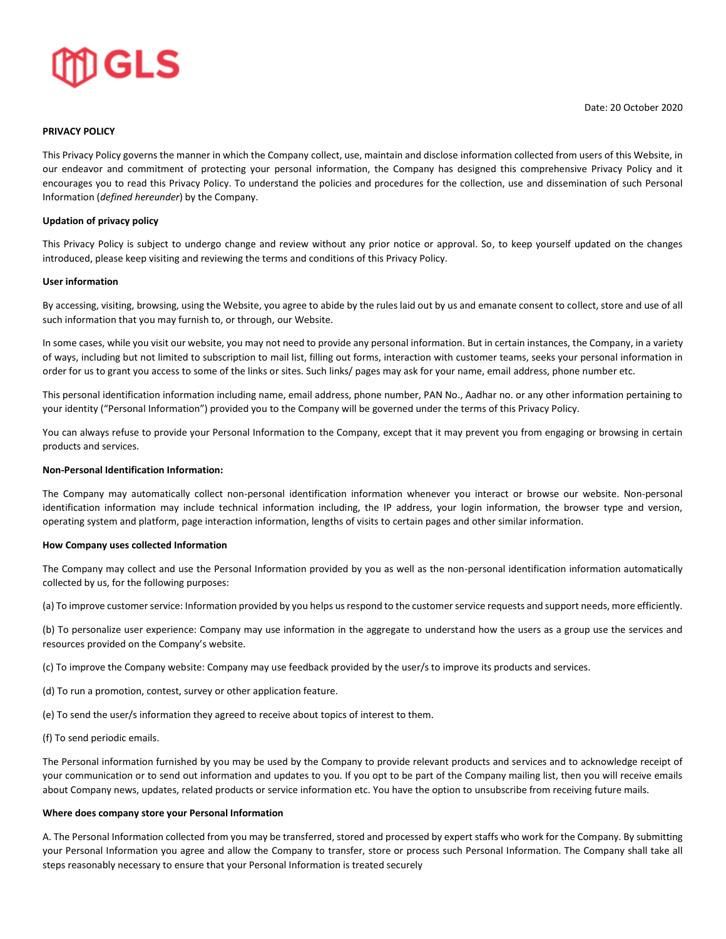

# **PRIVACY POLICY**

This Privacy Policy governs the manner in which the Company collect, use, maintain and disclose information collected from users of this Website, in our endeavor and commitment of protecting your personal information, the Company has designed this comprehensive Privacy Policy and it encourages you to read this Privacy Policy. To understand the policies and procedures for the collection, use and dissemination of such Personal Information (*defined hereunder*) by the Company.

## **Updation of privacy policy**

This Privacy Policy is subject to undergo change and review without any prior notice or approval. So, to keep yourself updated on the changes introduced, please keep visiting and reviewing the terms and conditions of this Privacy Policy.

### **User information**

By accessing, visiting, browsing, using the Website, you agree to abide by the rules laid out by us and emanate consent to collect, store and use of all such information that you may furnish to, or through, our Website.

In some cases, while you visit our website, you may not need to provide any personal information. But in certain instances, the Company, in a variety of ways, including but not limited to subscription to mail list, filling out forms, interaction with customer teams, seeks your personal information in order for us to grant you access to some of the links or sites. Such links/ pages may ask for your name, email address, phone number etc.

This personal identification information including name, email address, phone number, PAN No., Aadhar no. or any other information pertaining to your identity ("Personal Information") provided you to the Company will be governed under the terms of this Privacy Policy.

You can always refuse to provide your Personal Information to the Company, except that it may prevent you from engaging or browsing in certain products and services.

## **Non-Personal Identification Information:**

The Company may automatically collect non-personal identification information whenever you interact or browse our website. Non-personal identification information may include technical information including, the IP address, your login information, the browser type and version, operating system and platform, page interaction information, lengths of visits to certain pages and other similar information.

#### **How Company uses collected Information**

The Company may collect and use the Personal Information provided by you as well as the non-personal identification information automatically collected by us, for the following purposes:

(a) To improve customer service: Information provided by you helps us respond to the customer service requests and support needs, more efficiently.

(b) To personalize user experience: Company may use information in the aggregate to understand how the users as a group use the services and resources provided on the Company's website.

(c) To improve the Company website: Company may use feedback provided by the user/s to improve its products and services.

- (d) To run a promotion, contest, survey or other application feature.
- (e) To send the user/s information they agreed to receive about topics of interest to them.
- (f) To send periodic emails.

The Personal information furnished by you may be used by the Company to provide relevant products and services and to acknowledge receipt of your communication or to send out information and updates to you. If you opt to be part of the Company mailing list, then you will receive emails about Company news, updates, related products or service information etc. You have the option to unsubscribe from receiving future mails.

#### **Where does company store your Personal Information**

A. The Personal Information collected from you may be transferred, stored and processed by expert staffs who work for the Company. By submitting your Personal Information you agree and allow the Company to transfer, store or process such Personal Information. The Company shall take all steps reasonably necessary to ensure that your Personal Information is treated securely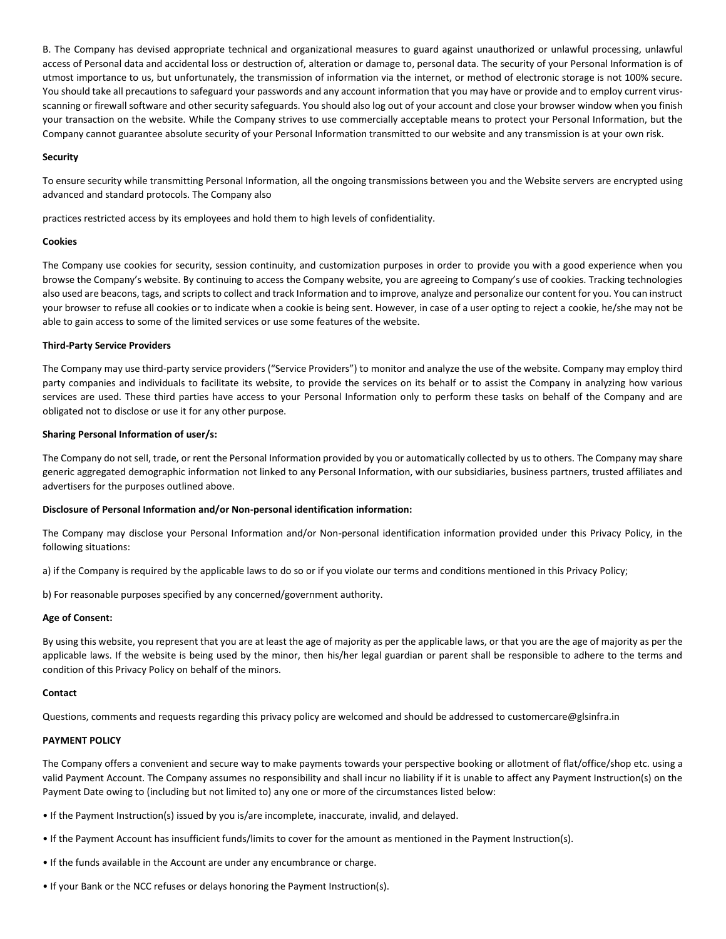B. The Company has devised appropriate technical and organizational measures to guard against unauthorized or unlawful processing, unlawful access of Personal data and accidental loss or destruction of, alteration or damage to, personal data. The security of your Personal Information is of utmost importance to us, but unfortunately, the transmission of information via the internet, or method of electronic storage is not 100% secure. You should take all precautions to safeguard your passwords and any account information that you may have or provide and to employ current virusscanning or firewall software and other security safeguards. You should also log out of your account and close your browser window when you finish your transaction on the website. While the Company strives to use commercially acceptable means to protect your Personal Information, but the Company cannot guarantee absolute security of your Personal Information transmitted to our website and any transmission is at your own risk.

## **Security**

To ensure security while transmitting Personal Information, all the ongoing transmissions between you and the Website servers are encrypted using advanced and standard protocols. The Company also

practices restricted access by its employees and hold them to high levels of confidentiality.

#### **Cookies**

The Company use cookies for security, session continuity, and customization purposes in order to provide you with a good experience when you browse the Company's website. By continuing to access the Company website, you are agreeing to Company's use of cookies. Tracking technologies also used are beacons, tags, and scripts to collect and track Information and to improve, analyze and personalize our content for you. You can instruct your browser to refuse all cookies or to indicate when a cookie is being sent. However, in case of a user opting to reject a cookie, he/she may not be able to gain access to some of the limited services or use some features of the website.

#### **Third-Party Service Providers**

The Company may use third-party service providers ("Service Providers") to monitor and analyze the use of the website. Company may employ third party companies and individuals to facilitate its website, to provide the services on its behalf or to assist the Company in analyzing how various services are used. These third parties have access to your Personal Information only to perform these tasks on behalf of the Company and are obligated not to disclose or use it for any other purpose.

#### **Sharing Personal Information of user/s:**

The Company do not sell, trade, or rent the Personal Information provided by you or automatically collected by us to others. The Company may share generic aggregated demographic information not linked to any Personal Information, with our subsidiaries, business partners, trusted affiliates and advertisers for the purposes outlined above.

#### **Disclosure of Personal Information and/or Non-personal identification information:**

The Company may disclose your Personal Information and/or Non-personal identification information provided under this Privacy Policy, in the following situations:

a) if the Company is required by the applicable laws to do so or if you violate our terms and conditions mentioned in this Privacy Policy;

b) For reasonable purposes specified by any concerned/government authority.

### **Age of Consent:**

By using this website, you represent that you are at least the age of majority as per the applicable laws, or that you are the age of majority as per the applicable laws. If the website is being used by the minor, then his/her legal guardian or parent shall be responsible to adhere to the terms and condition of this Privacy Policy on behalf of the minors.

#### **Contact**

Questions, comments and requests regarding this privacy policy are welcomed and should be addressed to customercare@glsinfra.in

#### **PAYMENT POLICY**

The Company offers a convenient and secure way to make payments towards your perspective booking or allotment of flat/office/shop etc. using a valid Payment Account. The Company assumes no responsibility and shall incur no liability if it is unable to affect any Payment Instruction(s) on the Payment Date owing to (including but not limited to) any one or more of the circumstances listed below:

- If the Payment Instruction(s) issued by you is/are incomplete, inaccurate, invalid, and delayed.
- If the Payment Account has insufficient funds/limits to cover for the amount as mentioned in the Payment Instruction(s).
- If the funds available in the Account are under any encumbrance or charge.
- If your Bank or the NCC refuses or delays honoring the Payment Instruction(s).